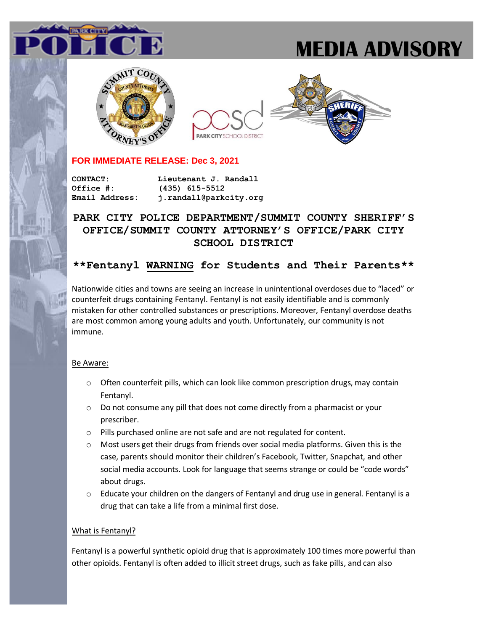# **MEDIA ADVISORY**







## **FOR IMMEDIATE RELEASE: Dec 3, 2021**

**CONTACT: Lieutenant J. Randall Office #: (435) 615-5512 Email Address: j.randall@parkcity.org**

# **PARK CITY POLICE DEPARTMENT/SUMMIT COUNTY SHERIFF'S OFFICE/SUMMIT COUNTY ATTORNEY'S OFFICE/PARK CITY SCHOOL DISTRICT**

# **\*\*Fentanyl WARNING for Students and Their Parents\*\***

Nationwide cities and towns are seeing an increase in unintentional overdoses due to "laced" or counterfeit drugs containing Fentanyl. Fentanyl is not easily identifiable and is commonly mistaken for other controlled substances or prescriptions. Moreover, Fentanyl overdose deaths are most common among young adults and youth. Unfortunately, our community is not immune.

#### Be Aware:

- $\circ$  Often counterfeit pills, which can look like common prescription drugs, may contain Fentanyl.
- o Do not consume any pill that does not come directly from a pharmacist or your prescriber.
- o Pills purchased online are not safe and are not regulated for content.
- $\circ$  Most users get their drugs from friends over social media platforms. Given this is the case, parents should monitor their children's Facebook, Twitter, Snapchat, and other social media accounts. Look for language that seems strange or could be "code words" about drugs.
- $\circ$  Educate your children on the dangers of Fentanyl and drug use in general. Fentanyl is a drug that can take a life from a minimal first dose.

#### What is Fentanyl?

Fentanyl is a powerful synthetic opioid drug that is approximately 100 times more powerful than other opioids. Fentanyl is often added to illicit street drugs, such as fake pills, and can also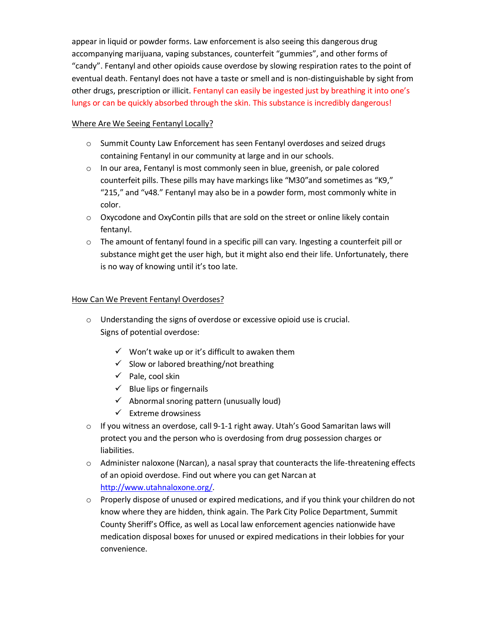appear in liquid or powder forms. Law enforcement is also seeing this dangerous drug accompanying marijuana, vaping substances, counterfeit "gummies", and other forms of "candy". Fentanyl and other opioids cause overdose by slowing respiration rates to the point of eventual death. Fentanyl does not have a taste or smell and is non-distinguishable by sight from other drugs, prescription or illicit. Fentanyl can easily be ingested just by breathing it into one's lungs or can be quickly absorbed through the skin. This substance is incredibly dangerous!

#### Where Are We Seeing Fentanyl Locally?

- o Summit County Law Enforcement has seen Fentanyl overdoses and seized drugs containing Fentanyl in our community at large and in our schools.
- $\circ$  In our area, Fentanyl is most commonly seen in blue, greenish, or pale colored counterfeit pills. These pills may have markings like "M30"and sometimes as "K9," "215," and "v48." Fentanyl may also be in a powder form, most commonly white in color.
- $\circ$  Oxycodone and OxyContin pills that are sold on the street or online likely contain fentanyl.
- o The amount of fentanyl found in a specific pill can vary. Ingesting a counterfeit pill or substance might get the user high, but it might also end their life. Unfortunately, there is no way of knowing until it's too late.

## How Can We Prevent Fentanyl Overdoses?

- o Understanding the signs of overdose or excessive opioid use is crucial. Signs of potential overdose:
	- $\checkmark$  Won't wake up or it's difficult to awaken them
	- $\checkmark$  Slow or labored breathing/not breathing
	- ✓ Pale, cool skin
	- $\checkmark$  Blue lips or fingernails
	- $\checkmark$  Abnormal snoring pattern (unusually loud)
	- $\checkmark$  Extreme drowsiness
- $\circ$  If you witness an overdose, call 9-1-1 right away. Utah's Good Samaritan laws will protect you and the person who is overdosing from drug possession charges or liabilities.
- $\circ$  Administer naloxone (Narcan), a nasal spray that counteracts the life-threatening effects of an opioid overdose. Find out where you can get Narcan at [http://www.utahnaloxone.org/.](http://www.utahnaloxone.org/)
- o Properly dispose of unused or expired medications, and if you think your children do not know where they are hidden, think again. The Park City Police Department, Summit County Sheriff's Office, as well as Local law enforcement agencies nationwide have medication disposal boxes for unused or expired medications in their lobbies for your convenience.